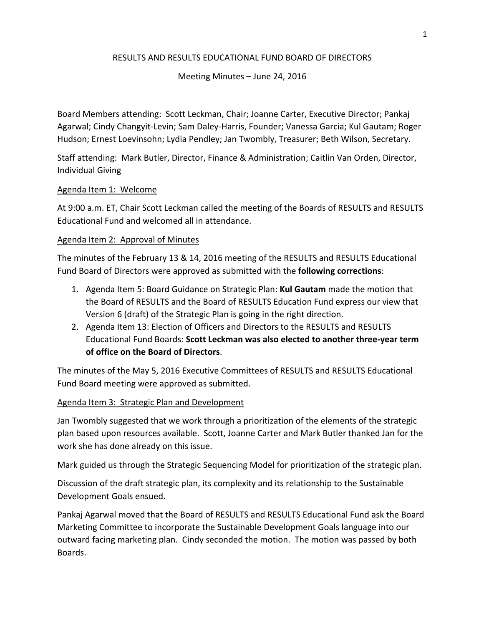# RESULTS AND RESULTS EDUCATIONAL FUND BOARD OF DIRECTORS

# Meeting Minutes  $-$  June 24, 2016

Board Members attending: Scott Leckman, Chair; Joanne Carter, Executive Director; Pankaj Agarwal; Cindy Changyit-Levin; Sam Daley-Harris, Founder; Vanessa Garcia; Kul Gautam; Roger Hudson; Ernest Loevinsohn; Lydia Pendley; Jan Twombly, Treasurer; Beth Wilson, Secretary.

Staff attending: Mark Butler, Director, Finance & Administration; Caitlin Van Orden, Director, Individual Giving

# Agenda Item 1: Welcome

At 9:00 a.m. ET, Chair Scott Leckman called the meeting of the Boards of RESULTS and RESULTS Educational Fund and welcomed all in attendance.

#### Agenda Item 2: Approval of Minutes

The minutes of the February 13 & 14, 2016 meeting of the RESULTS and RESULTS Educational Fund Board of Directors were approved as submitted with the **following corrections**:

- 1. Agenda Item 5: Board Guidance on Strategic Plan: **Kul Gautam** made the motion that the Board of RESULTS and the Board of RESULTS Education Fund express our view that Version 6 (draft) of the Strategic Plan is going in the right direction.
- 2. Agenda Item 13: Election of Officers and Directors to the RESULTS and RESULTS Educational Fund Boards: **Scott Leckman was also elected to another three-year term of office on the Board of Directors**.

The minutes of the May 5, 2016 Executive Committees of RESULTS and RESULTS Educational Fund Board meeting were approved as submitted.

# Agenda Item 3: Strategic Plan and Development

Jan Twombly suggested that we work through a prioritization of the elements of the strategic plan based upon resources available. Scott, Joanne Carter and Mark Butler thanked Jan for the work she has done already on this issue.

Mark guided us through the Strategic Sequencing Model for prioritization of the strategic plan.

Discussion of the draft strategic plan, its complexity and its relationship to the Sustainable Development Goals ensued.

Pankaj Agarwal moved that the Board of RESULTS and RESULTS Educational Fund ask the Board Marketing Committee to incorporate the Sustainable Development Goals language into our outward facing marketing plan. Cindy seconded the motion. The motion was passed by both Boards.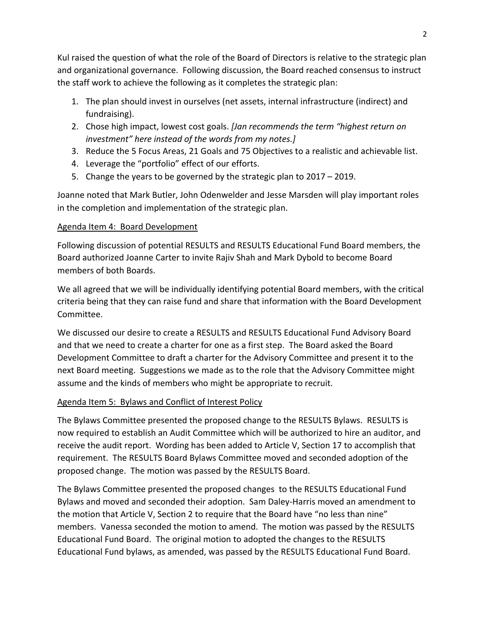Kul raised the question of what the role of the Board of Directors is relative to the strategic plan and organizational governance. Following discussion, the Board reached consensus to instruct the staff work to achieve the following as it completes the strategic plan:

- 1. The plan should invest in ourselves (net assets, internal infrastructure (indirect) and fundraising).
- 2. Chose high impact, lowest cost goals. *[Jan recommends the term "highest return on* investment" here instead of the words from my notes.]
- 3. Reduce the 5 Focus Areas, 21 Goals and 75 Objectives to a realistic and achievable list.
- 4. Leverage the "portfolio" effect of our efforts.
- 5. Change the years to be governed by the strategic plan to  $2017 2019$ .

Joanne noted that Mark Butler, John Odenwelder and Jesse Marsden will play important roles in the completion and implementation of the strategic plan.

# Agenda Item 4: Board Development

Following discussion of potential RESULTS and RESULTS Educational Fund Board members, the Board authorized Joanne Carter to invite Rajiv Shah and Mark Dybold to become Board members of both Boards.

We all agreed that we will be individually identifying potential Board members, with the critical criteria being that they can raise fund and share that information with the Board Development Committee. 

We discussed our desire to create a RESULTS and RESULTS Educational Fund Advisory Board and that we need to create a charter for one as a first step. The Board asked the Board Development Committee to draft a charter for the Advisory Committee and present it to the next Board meeting. Suggestions we made as to the role that the Advisory Committee might assume and the kinds of members who might be appropriate to recruit.

# Agenda Item 5: Bylaws and Conflict of Interest Policy

The Bylaws Committee presented the proposed change to the RESULTS Bylaws. RESULTS is now required to establish an Audit Committee which will be authorized to hire an auditor, and receive the audit report. Wording has been added to Article V, Section 17 to accomplish that requirement. The RESULTS Board Bylaws Committee moved and seconded adoption of the proposed change. The motion was passed by the RESULTS Board.

The Bylaws Committee presented the proposed changes to the RESULTS Educational Fund Bylaws and moved and seconded their adoption. Sam Daley-Harris moved an amendment to the motion that Article V, Section 2 to require that the Board have "no less than nine" members. Vanessa seconded the motion to amend. The motion was passed by the RESULTS Educational Fund Board. The original motion to adopted the changes to the RESULTS Educational Fund bylaws, as amended, was passed by the RESULTS Educational Fund Board.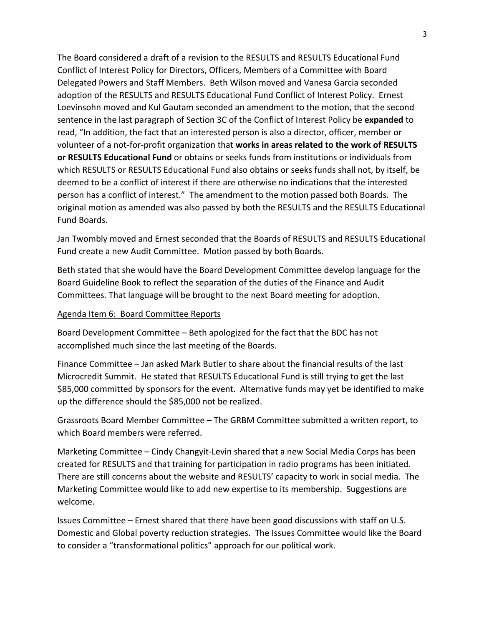The Board considered a draft of a revision to the RESULTS and RESULTS Educational Fund Conflict of Interest Policy for Directors, Officers, Members of a Committee with Board Delegated Powers and Staff Members. Beth Wilson moved and Vanesa Garcia seconded adoption of the RESULTS and RESULTS Educational Fund Conflict of Interest Policy. Ernest Loevinsohn moved and Kul Gautam seconded an amendment to the motion, that the second sentence in the last paragraph of Section 3C of the Conflict of Interest Policy be **expanded** to read, "In addition, the fact that an interested person is also a director, officer, member or volunteer of a not-for-profit organization that **works in areas related to the work of RESULTS** or **RESULTS Educational Fund** or obtains or seeks funds from institutions or individuals from which RESULTS or RESULTS Educational Fund also obtains or seeks funds shall not, by itself, be deemed to be a conflict of interest if there are otherwise no indications that the interested person has a conflict of interest." The amendment to the motion passed both Boards. The original motion as amended was also passed by both the RESULTS and the RESULTS Educational Fund Boards.

Jan Twombly moved and Ernest seconded that the Boards of RESULTS and RESULTS Educational Fund create a new Audit Committee. Motion passed by both Boards.

Beth stated that she would have the Board Development Committee develop language for the Board Guideline Book to reflect the separation of the duties of the Finance and Audit Committees. That language will be brought to the next Board meeting for adoption.

# Agenda Item 6: Board Committee Reports

Board Development Committee – Beth apologized for the fact that the BDC has not accomplished much since the last meeting of the Boards.

Finance Committee – Jan asked Mark Butler to share about the financial results of the last Microcredit Summit. He stated that RESULTS Educational Fund is still trying to get the last \$85,000 committed by sponsors for the event. Alternative funds may yet be identified to make up the difference should the \$85,000 not be realized.

Grassroots Board Member Committee – The GRBM Committee submitted a written report, to which Board members were referred.

Marketing Committee – Cindy Changyit-Levin shared that a new Social Media Corps has been created for RESULTS and that training for participation in radio programs has been initiated. There are still concerns about the website and RESULTS' capacity to work in social media. The Marketing Committee would like to add new expertise to its membership. Suggestions are welcome. 

Issues Committee – Ernest shared that there have been good discussions with staff on U.S. Domestic and Global poverty reduction strategies. The Issues Committee would like the Board to consider a "transformational politics" approach for our political work.